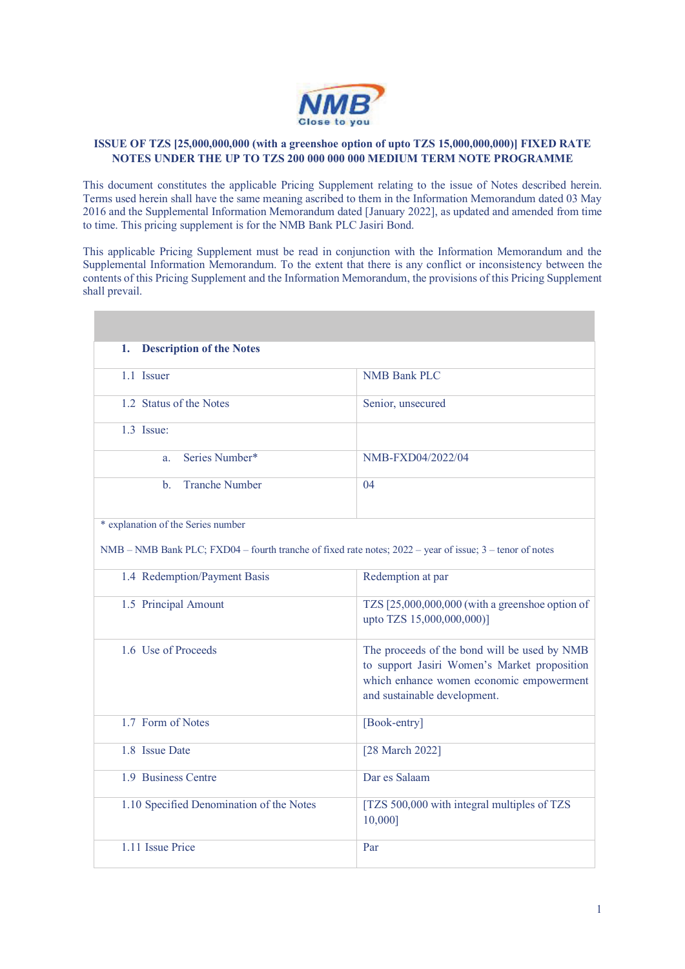

## **ISSUE OF TZS [25,000,000,000 (with a greenshoe option of upto TZS 15,000,000,000)] FIXED RATE NOTES UNDER THE UP TO TZS 200 000 000 000 MEDIUM TERM NOTE PROGRAMME**

This document constitutes the applicable Pricing Supplement relating to the issue of Notes described herein. Terms used herein shall have the same meaning ascribed to them in the Information Memorandum dated 03 May 2016 and the Supplemental Information Memorandum dated [January 2022], as updated and amended from time to time. This pricing supplement is for the NMB Bank PLC Jasiri Bond.

This applicable Pricing Supplement must be read in conjunction with the Information Memorandum and the Supplemental Information Memorandum. To the extent that there is any conflict or inconsistency between the contents of this Pricing Supplement and the Information Memorandum, the provisions of this Pricing Supplement shall prevail.

| <b>Description of the Notes</b><br>1.                                                                    |                                                                                                                                                                          |  |
|----------------------------------------------------------------------------------------------------------|--------------------------------------------------------------------------------------------------------------------------------------------------------------------------|--|
| 1.1 Issuer                                                                                               | <b>NMB Bank PLC</b>                                                                                                                                                      |  |
| 1.2 Status of the Notes                                                                                  | Senior, unsecured                                                                                                                                                        |  |
| $1.3$ Issue:                                                                                             |                                                                                                                                                                          |  |
| Series Number*<br>a.                                                                                     | NMB-FXD04/2022/04                                                                                                                                                        |  |
| <b>Tranche Number</b><br>$\mathbf{b}$ .                                                                  | 04                                                                                                                                                                       |  |
| * explanation of the Series number                                                                       |                                                                                                                                                                          |  |
| NMB – NMB Bank PLC; FXD04 – fourth tranche of fixed rate notes; 2022 – year of issue; 3 – tenor of notes |                                                                                                                                                                          |  |
| 1.4 Redemption/Payment Basis                                                                             | Redemption at par                                                                                                                                                        |  |
| 1.5 Principal Amount                                                                                     | TZS [25,000,000,000 (with a greenshoe option of<br>upto TZS 15,000,000,000)]                                                                                             |  |
| 1.6 Use of Proceeds                                                                                      | The proceeds of the bond will be used by NMB<br>to support Jasiri Women's Market proposition<br>which enhance women economic empowerment<br>and sustainable development. |  |
| 1.7 Form of Notes                                                                                        | [Book-entry]                                                                                                                                                             |  |
| 1.8 Issue Date                                                                                           | [28 March 2022]                                                                                                                                                          |  |
| 1.9 Business Centre                                                                                      | Dar es Salaam                                                                                                                                                            |  |
| 1.10 Specified Denomination of the Notes                                                                 | [TZS 500,000 with integral multiples of TZS<br>10,000]                                                                                                                   |  |
| 1.11 Issue Price                                                                                         | Par                                                                                                                                                                      |  |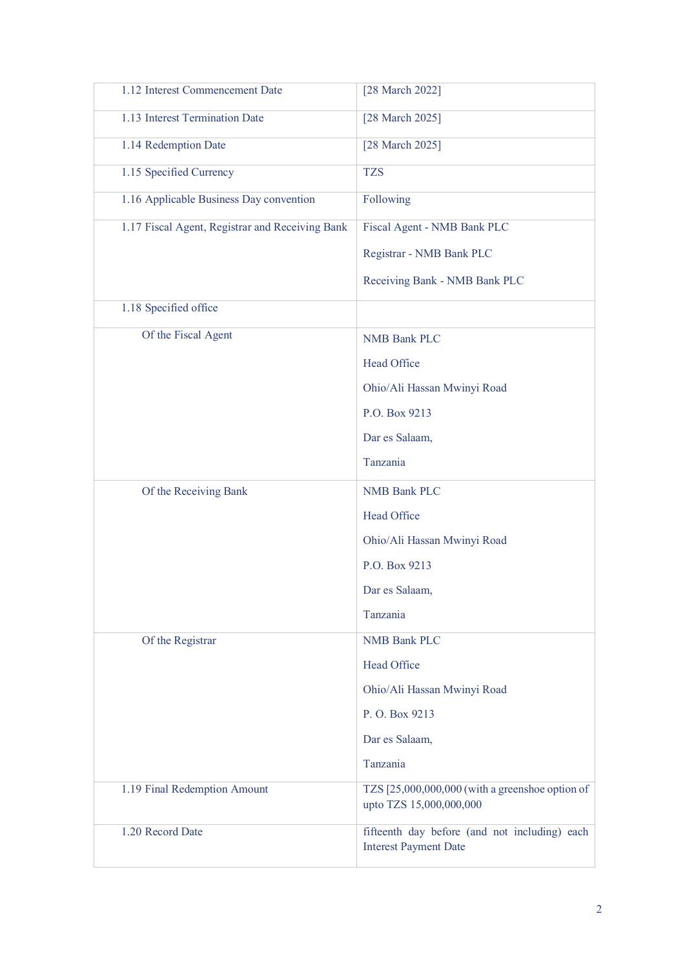| 1.12 Interest Commencement Date                 | [28 March 2022]                                                               |
|-------------------------------------------------|-------------------------------------------------------------------------------|
| 1.13 Interest Termination Date                  | [28 March 2025]                                                               |
| 1.14 Redemption Date                            | [28 March 2025]                                                               |
| 1.15 Specified Currency                         | <b>TZS</b>                                                                    |
| 1.16 Applicable Business Day convention         | Following                                                                     |
| 1.17 Fiscal Agent, Registrar and Receiving Bank | Fiscal Agent - NMB Bank PLC                                                   |
|                                                 | Registrar - NMB Bank PLC                                                      |
|                                                 | Receiving Bank - NMB Bank PLC                                                 |
| 1.18 Specified office                           |                                                                               |
| Of the Fiscal Agent                             | <b>NMB Bank PLC</b>                                                           |
|                                                 | Head Office                                                                   |
|                                                 | Ohio/Ali Hassan Mwinyi Road                                                   |
|                                                 | P.O. Box 9213                                                                 |
|                                                 | Dar es Salaam,                                                                |
|                                                 | Tanzania                                                                      |
| Of the Receiving Bank                           | <b>NMB Bank PLC</b>                                                           |
|                                                 | Head Office                                                                   |
|                                                 | Ohio/Ali Hassan Mwinyi Road                                                   |
|                                                 | P.O. Box 9213                                                                 |
|                                                 | Dar es Salaam,                                                                |
|                                                 | Tanzania                                                                      |
| Of the Registrar                                | <b>NMB Bank PLC</b>                                                           |
|                                                 | <b>Head Office</b>                                                            |
|                                                 | Ohio/Ali Hassan Mwinyi Road                                                   |
|                                                 | P. O. Box 9213                                                                |
|                                                 | Dar es Salaam,                                                                |
|                                                 | Tanzania                                                                      |
| 1.19 Final Redemption Amount                    | TZS [25,000,000,000 (with a greenshoe option of<br>upto TZS 15,000,000,000    |
| 1.20 Record Date                                | fifteenth day before (and not including) each<br><b>Interest Payment Date</b> |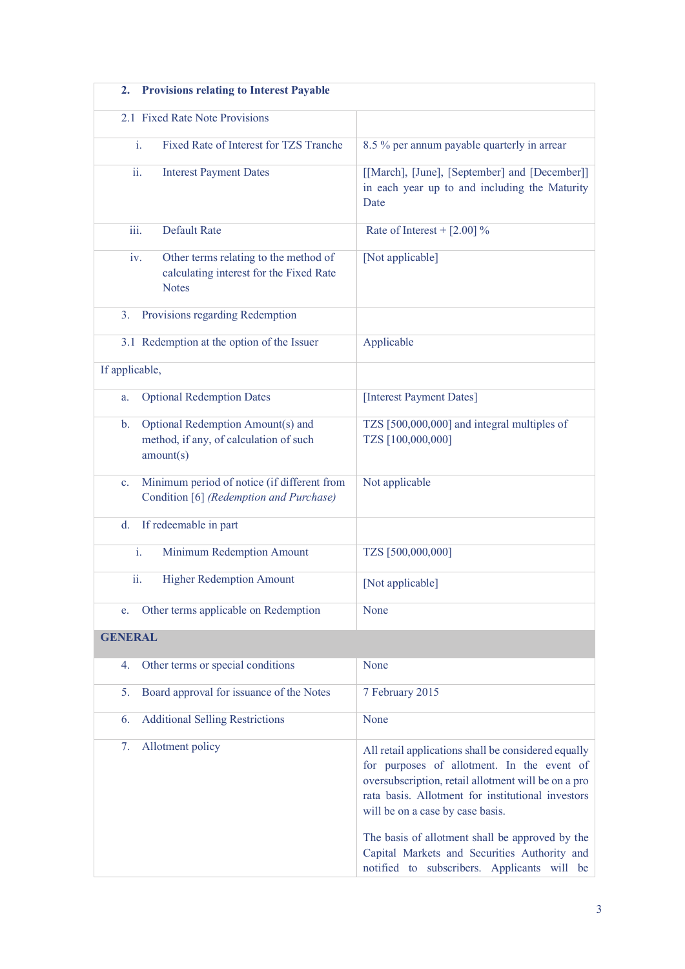| <b>Provisions relating to Interest Payable</b><br>2.                                                       |                                                                                                                                                                                                                                                                                                                                                                                                     |
|------------------------------------------------------------------------------------------------------------|-----------------------------------------------------------------------------------------------------------------------------------------------------------------------------------------------------------------------------------------------------------------------------------------------------------------------------------------------------------------------------------------------------|
| 2.1 Fixed Rate Note Provisions                                                                             |                                                                                                                                                                                                                                                                                                                                                                                                     |
| i.<br>Fixed Rate of Interest for TZS Tranche                                                               | 8.5 % per annum payable quarterly in arrear                                                                                                                                                                                                                                                                                                                                                         |
| ii.<br><b>Interest Payment Dates</b>                                                                       | [[March], [June], [September] and [December]]<br>in each year up to and including the Maturity<br>Date                                                                                                                                                                                                                                                                                              |
| iii.<br><b>Default Rate</b>                                                                                | Rate of Interest + $[2.00]$ %                                                                                                                                                                                                                                                                                                                                                                       |
| Other terms relating to the method of<br>iv.<br>calculating interest for the Fixed Rate<br><b>Notes</b>    | [Not applicable]                                                                                                                                                                                                                                                                                                                                                                                    |
| Provisions regarding Redemption<br>3.                                                                      |                                                                                                                                                                                                                                                                                                                                                                                                     |
| 3.1 Redemption at the option of the Issuer                                                                 | Applicable                                                                                                                                                                                                                                                                                                                                                                                          |
| If applicable,                                                                                             |                                                                                                                                                                                                                                                                                                                                                                                                     |
| <b>Optional Redemption Dates</b><br>a.                                                                     | [Interest Payment Dates]                                                                                                                                                                                                                                                                                                                                                                            |
| Optional Redemption Amount(s) and<br>$\mathbf{b}$ .<br>method, if any, of calculation of such<br>amount(s) | TZS [500,000,000] and integral multiples of<br>TZS [100,000,000]                                                                                                                                                                                                                                                                                                                                    |
| Minimum period of notice (if different from<br>$\mathbf{c}$ .<br>Condition [6] (Redemption and Purchase)   | Not applicable                                                                                                                                                                                                                                                                                                                                                                                      |
| If redeemable in part<br>d.                                                                                |                                                                                                                                                                                                                                                                                                                                                                                                     |
| i.<br>Minimum Redemption Amount                                                                            | TZS [500,000,000]                                                                                                                                                                                                                                                                                                                                                                                   |
| <b>Higher Redemption Amount</b><br>ii.                                                                     | [Not applicable]                                                                                                                                                                                                                                                                                                                                                                                    |
| Other terms applicable on Redemption<br>e.                                                                 | None                                                                                                                                                                                                                                                                                                                                                                                                |
| <b>GENERAL</b>                                                                                             |                                                                                                                                                                                                                                                                                                                                                                                                     |
| Other terms or special conditions<br>4.                                                                    | None                                                                                                                                                                                                                                                                                                                                                                                                |
| 5.<br>Board approval for issuance of the Notes                                                             | 7 February 2015                                                                                                                                                                                                                                                                                                                                                                                     |
| <b>Additional Selling Restrictions</b><br>6.                                                               | None                                                                                                                                                                                                                                                                                                                                                                                                |
| Allotment policy<br>7.                                                                                     | All retail applications shall be considered equally<br>for purposes of allotment. In the event of<br>oversubscription, retail allotment will be on a pro<br>rata basis. Allotment for institutional investors<br>will be on a case by case basis.<br>The basis of allotment shall be approved by the<br>Capital Markets and Securities Authority and<br>notified to subscribers. Applicants will be |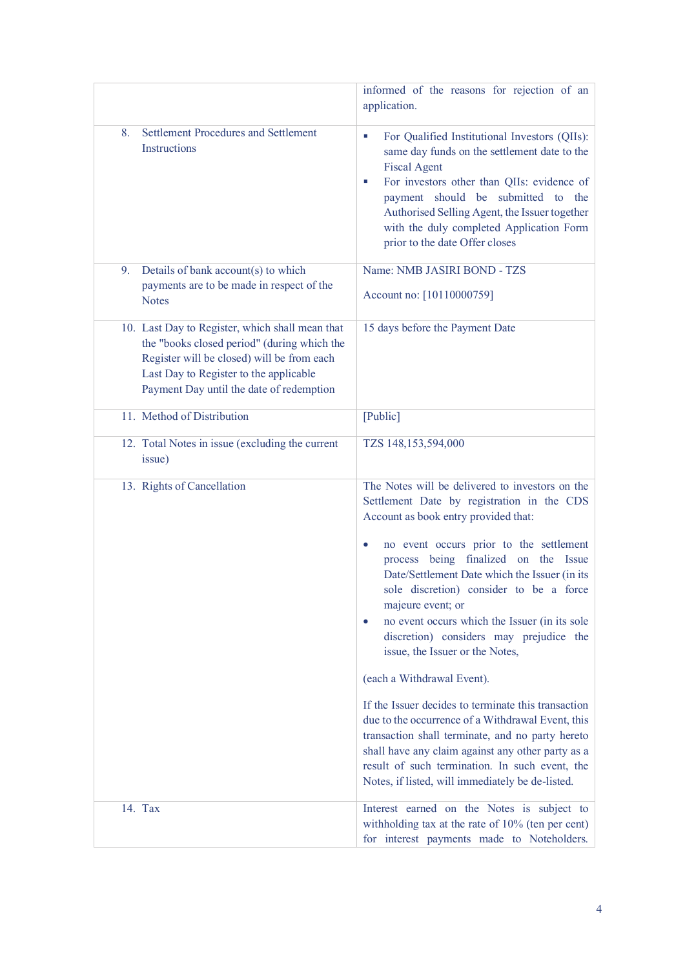|                                                                                                                                                                                                                                    | informed of the reasons for rejection of an<br>application.                                                                                                                                                                                                                                                                                                                                                                                                                                                                                                                                                                                                                                                                                                                                                                                                 |
|------------------------------------------------------------------------------------------------------------------------------------------------------------------------------------------------------------------------------------|-------------------------------------------------------------------------------------------------------------------------------------------------------------------------------------------------------------------------------------------------------------------------------------------------------------------------------------------------------------------------------------------------------------------------------------------------------------------------------------------------------------------------------------------------------------------------------------------------------------------------------------------------------------------------------------------------------------------------------------------------------------------------------------------------------------------------------------------------------------|
| Settlement Procedures and Settlement<br>8.<br>Instructions                                                                                                                                                                         | For Qualified Institutional Investors (QIIs):<br>L.<br>same day funds on the settlement date to the<br><b>Fiscal Agent</b><br>For investors other than QIIs: evidence of<br>×<br>payment should be submitted to the<br>Authorised Selling Agent, the Issuer together<br>with the duly completed Application Form<br>prior to the date Offer closes                                                                                                                                                                                                                                                                                                                                                                                                                                                                                                          |
| Details of bank account(s) to which<br>9.                                                                                                                                                                                          | Name: NMB JASIRI BOND - TZS                                                                                                                                                                                                                                                                                                                                                                                                                                                                                                                                                                                                                                                                                                                                                                                                                                 |
| payments are to be made in respect of the<br><b>Notes</b>                                                                                                                                                                          | Account no: [10110000759]                                                                                                                                                                                                                                                                                                                                                                                                                                                                                                                                                                                                                                                                                                                                                                                                                                   |
| 10. Last Day to Register, which shall mean that<br>the "books closed period" (during which the<br>Register will be closed) will be from each<br>Last Day to Register to the applicable<br>Payment Day until the date of redemption | 15 days before the Payment Date                                                                                                                                                                                                                                                                                                                                                                                                                                                                                                                                                                                                                                                                                                                                                                                                                             |
| 11. Method of Distribution                                                                                                                                                                                                         | [Public]                                                                                                                                                                                                                                                                                                                                                                                                                                                                                                                                                                                                                                                                                                                                                                                                                                                    |
| 12. Total Notes in issue (excluding the current<br>issue)                                                                                                                                                                          | TZS 148,153,594,000                                                                                                                                                                                                                                                                                                                                                                                                                                                                                                                                                                                                                                                                                                                                                                                                                                         |
| 13. Rights of Cancellation                                                                                                                                                                                                         | The Notes will be delivered to investors on the<br>Settlement Date by registration in the CDS<br>Account as book entry provided that:<br>no event occurs prior to the settlement<br>$\bullet$<br>process being finalized on the Issue<br>Date/Settlement Date which the Issuer (in its<br>sole discretion) consider to be a force<br>majeure event; or<br>no event occurs which the Issuer (in its sole<br>$\bullet$<br>discretion) considers may prejudice the<br>issue, the Issuer or the Notes,<br>(each a Withdrawal Event).<br>If the Issuer decides to terminate this transaction<br>due to the occurrence of a Withdrawal Event, this<br>transaction shall terminate, and no party hereto<br>shall have any claim against any other party as a<br>result of such termination. In such event, the<br>Notes, if listed, will immediately be de-listed. |
| 14. Tax                                                                                                                                                                                                                            | Interest earned on the Notes is subject to<br>withholding tax at the rate of 10% (ten per cent)<br>for interest payments made to Noteholders.                                                                                                                                                                                                                                                                                                                                                                                                                                                                                                                                                                                                                                                                                                               |